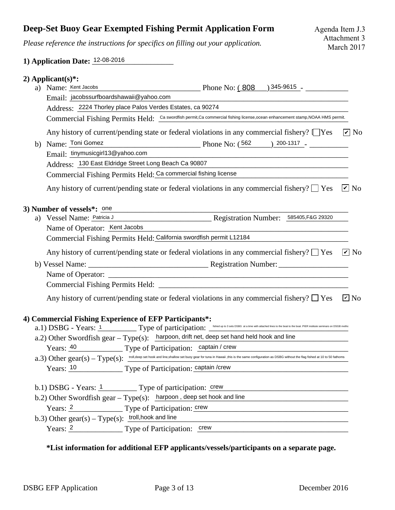## **Deep-Set Buoy Gear Exempted Fishing Permit Application Form**

*Please reference the instructions for specifics on filling out your application.*

## 1) Application Date: <sup>12-08-2016</sup>

|    | 2) Applicant $(s)$ <sup>*</sup> :                                                                                              |                                                                                                                                                                                                                                |               |  |  |  |  |
|----|--------------------------------------------------------------------------------------------------------------------------------|--------------------------------------------------------------------------------------------------------------------------------------------------------------------------------------------------------------------------------|---------------|--|--|--|--|
|    | a) Name: Kent Jacobs                                                                                                           | $P$ hone No: $(808)$ $345-9615$ $-$                                                                                                                                                                                            |               |  |  |  |  |
|    | Email: jacobssurfboardshawaii@yahoo.com                                                                                        |                                                                                                                                                                                                                                |               |  |  |  |  |
|    | Address: 2224 Thorley place Palos Verdes Estates, ca 90274                                                                     |                                                                                                                                                                                                                                |               |  |  |  |  |
|    | Commercial Fishing Permits Held: Ca swordfish permit, Ca commercial fishing license, ocean enhancement stamp, NOAA HMS permit. |                                                                                                                                                                                                                                |               |  |  |  |  |
|    |                                                                                                                                | Any history of current/pending state or federal violations in any commercial fishery? [Nes                                                                                                                                     | $\sqrt{v}$ No |  |  |  |  |
| b) | Name: Toni Gomez                                                                                                               | Phone No: $(562)$ 200-1317 -                                                                                                                                                                                                   |               |  |  |  |  |
|    | Email: tinymusicgirl13@yahoo.com                                                                                               |                                                                                                                                                                                                                                |               |  |  |  |  |
|    | Address: 130 East Eldridge Street Long Beach Ca 90807                                                                          |                                                                                                                                                                                                                                |               |  |  |  |  |
|    | Commercial Fishing Permits Held: Ca commercial fishing license                                                                 |                                                                                                                                                                                                                                |               |  |  |  |  |
|    |                                                                                                                                | Any history of current/pending state or federal violations in any commercial fishery? $\Box$ Yes $\Box$ No                                                                                                                     |               |  |  |  |  |
|    | 3) Number of vessels*: <u>one</u>                                                                                              |                                                                                                                                                                                                                                |               |  |  |  |  |
|    |                                                                                                                                | a) Vessel Name: Patricia J Registration Number: 585405, F&G 29320                                                                                                                                                              |               |  |  |  |  |
|    | Name of Operator: Kent Jacobs                                                                                                  |                                                                                                                                                                                                                                |               |  |  |  |  |
|    | Commercial Fishing Permits Held: California swordfish permit L12184                                                            |                                                                                                                                                                                                                                |               |  |  |  |  |
|    |                                                                                                                                | Any history of current/pending state or federal violations in any commercial fishery? $\Box$ Yes $\Box$ No                                                                                                                     |               |  |  |  |  |
|    |                                                                                                                                |                                                                                                                                                                                                                                |               |  |  |  |  |
|    |                                                                                                                                |                                                                                                                                                                                                                                |               |  |  |  |  |
|    |                                                                                                                                |                                                                                                                                                                                                                                |               |  |  |  |  |
|    |                                                                                                                                | Any history of current/pending state or federal violations in any commercial fishery? $\square$ Yes                                                                                                                            | $\sqrt{2}$ No |  |  |  |  |
|    | 4) Commercial Fishing Experience of EFP Participants*:                                                                         | a.1) DSBG - Years: 1 Type of participation: sells DSBG at a time with attached lines to the boat to the boat of the boat of the cost of the cost of the cost of the cost of the cost of the cost of the cost of the cost of th |               |  |  |  |  |
|    |                                                                                                                                | a.2) Other Swordfish gear - Type(s): harpoon, drift net, deep set hand held hook and line                                                                                                                                      |               |  |  |  |  |
|    |                                                                                                                                |                                                                                                                                                                                                                                |               |  |  |  |  |
|    |                                                                                                                                |                                                                                                                                                                                                                                |               |  |  |  |  |
|    | Years: 40 Type of Participation: captain / crew                                                                                |                                                                                                                                                                                                                                |               |  |  |  |  |
|    | Years: 10 Type of Participation: captain /crew                                                                                 | $a.3)$ Other gear(s) - Type(s): $\frac{1}{100}$ , deep set hook and line, shallow set buoy gear for tuna in Hawaii , this is the same configuration as DSBG without the flag fished at 10 to 50 fathoms                        |               |  |  |  |  |
|    | b.1) DSBG - Years: $1$ Type of participation: crew                                                                             | <u> 1989 - Jan Barbara, manazarta bashkar bashkar a</u>                                                                                                                                                                        |               |  |  |  |  |
|    |                                                                                                                                |                                                                                                                                                                                                                                |               |  |  |  |  |
|    | b.2) Other Swordfish gear - Type(s): harpoon, deep set hook and line                                                           | Years: 2 Type of Participation: crew                                                                                                                                                                                           |               |  |  |  |  |
|    | b.3) Other $gen(s) - Type(s)$ : troll, hook and line                                                                           | Years: 2 Type of Participation: crew CHA CONSERVING THE TYPE OF Participation: Crew                                                                                                                                            |               |  |  |  |  |

## **\*List information for additional EFP applicants/vessels/participants on a separate page.**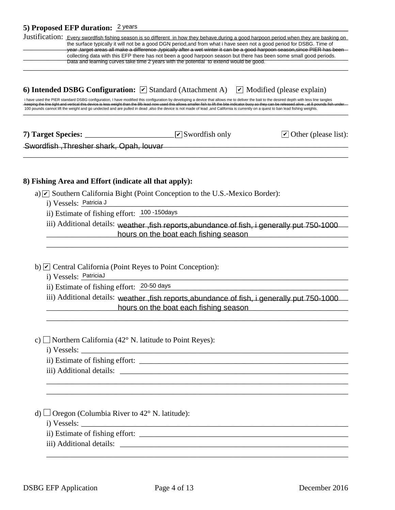|                                                                                                                                                                                                                                                                                                                                                                                                                                                                                                                                                                                                                                                                                                             | 5) Proposed EFP duration: 2 years                                               |  |                                                                                             |                                                                                                                                                                                                                                                                                                                                                                                                                                                                                                                      |  |  |
|-------------------------------------------------------------------------------------------------------------------------------------------------------------------------------------------------------------------------------------------------------------------------------------------------------------------------------------------------------------------------------------------------------------------------------------------------------------------------------------------------------------------------------------------------------------------------------------------------------------------------------------------------------------------------------------------------------------|---------------------------------------------------------------------------------|--|---------------------------------------------------------------------------------------------|----------------------------------------------------------------------------------------------------------------------------------------------------------------------------------------------------------------------------------------------------------------------------------------------------------------------------------------------------------------------------------------------------------------------------------------------------------------------------------------------------------------------|--|--|
|                                                                                                                                                                                                                                                                                                                                                                                                                                                                                                                                                                                                                                                                                                             |                                                                                 |  | Data and learning curves take time 2 years with the potential to extend would be good.      | Justification: Every swordfish fishing season is so different in how they behave during a good harpoon period when they are basking on<br>the surface typically it will not be a good DGN period, and from what i have seen not a good period for DSBG. Time of<br>vear, target areas all make a difference, typically after a wet winter it can be a good harpoon season, since PIER has been<br>collecting data with this EFP there has not been a good harpoon season but there has been some small good periods. |  |  |
| 6) Intended DSBG Configuration: $\triangledown$ Standard (Attachment A)<br>$\vee$ Modified (please explain)<br>i have used the PIER standard DSBG configuration, I have modified this configuration by developing a device that allows me to deliver the bait to the desired depth with less line tangles<br>keeping the line tight and vertical this device is less weight than the 8lb lead now used this allows smaller fish to lift the bite indicator buoy so they can be released alive, at 8 pounds fish under<br>100 pounds cannot lift the weight and go undected and are pulled in dead ,also the device is not made of lead ,and California is currently on a quest to ban lead fishing weights. |                                                                                 |  |                                                                                             |                                                                                                                                                                                                                                                                                                                                                                                                                                                                                                                      |  |  |
|                                                                                                                                                                                                                                                                                                                                                                                                                                                                                                                                                                                                                                                                                                             |                                                                                 |  | $\sqrt{\phantom{a}}$ Swordfish only                                                         | $\triangleright$ Other (please list):                                                                                                                                                                                                                                                                                                                                                                                                                                                                                |  |  |
|                                                                                                                                                                                                                                                                                                                                                                                                                                                                                                                                                                                                                                                                                                             | Swordfish, Thresher shark, Opah, louvar                                         |  |                                                                                             |                                                                                                                                                                                                                                                                                                                                                                                                                                                                                                                      |  |  |
|                                                                                                                                                                                                                                                                                                                                                                                                                                                                                                                                                                                                                                                                                                             | 8) Fishing Area and Effort (indicate all that apply):<br>i) Vessels: Patricia J |  | a) $\triangleright$ Southern California Bight (Point Conception to the U.S.-Mexico Border): |                                                                                                                                                                                                                                                                                                                                                                                                                                                                                                                      |  |  |
|                                                                                                                                                                                                                                                                                                                                                                                                                                                                                                                                                                                                                                                                                                             | ii) Estimate of fishing effort: 100 -150 days                                   |  |                                                                                             |                                                                                                                                                                                                                                                                                                                                                                                                                                                                                                                      |  |  |
|                                                                                                                                                                                                                                                                                                                                                                                                                                                                                                                                                                                                                                                                                                             |                                                                                 |  | hours on the boat each fishing season                                                       | iii) Additional details: weather , fish reports, abundance of fish, i generally put 750-1000                                                                                                                                                                                                                                                                                                                                                                                                                         |  |  |
|                                                                                                                                                                                                                                                                                                                                                                                                                                                                                                                                                                                                                                                                                                             | i) Vessels: PatriciaJ<br>ii) Estimate of fishing effort: 20-50 days             |  | b) $\angle$ Central California (Point Reyes to Point Conception):                           |                                                                                                                                                                                                                                                                                                                                                                                                                                                                                                                      |  |  |
|                                                                                                                                                                                                                                                                                                                                                                                                                                                                                                                                                                                                                                                                                                             |                                                                                 |  | hours on the boat each fishing season                                                       | iii) Additional details: weather, fish reports, abundance of fish, i generally put 750-1000                                                                                                                                                                                                                                                                                                                                                                                                                          |  |  |
|                                                                                                                                                                                                                                                                                                                                                                                                                                                                                                                                                                                                                                                                                                             |                                                                                 |  | c) Northern California (42 $^{\circ}$ N. latitude to Point Reyes):                          |                                                                                                                                                                                                                                                                                                                                                                                                                                                                                                                      |  |  |
|                                                                                                                                                                                                                                                                                                                                                                                                                                                                                                                                                                                                                                                                                                             |                                                                                 |  |                                                                                             |                                                                                                                                                                                                                                                                                                                                                                                                                                                                                                                      |  |  |
|                                                                                                                                                                                                                                                                                                                                                                                                                                                                                                                                                                                                                                                                                                             | d) $\Box$ Oregon (Columbia River to 42° N. latitude):                           |  |                                                                                             |                                                                                                                                                                                                                                                                                                                                                                                                                                                                                                                      |  |  |
|                                                                                                                                                                                                                                                                                                                                                                                                                                                                                                                                                                                                                                                                                                             |                                                                                 |  |                                                                                             |                                                                                                                                                                                                                                                                                                                                                                                                                                                                                                                      |  |  |
|                                                                                                                                                                                                                                                                                                                                                                                                                                                                                                                                                                                                                                                                                                             |                                                                                 |  |                                                                                             |                                                                                                                                                                                                                                                                                                                                                                                                                                                                                                                      |  |  |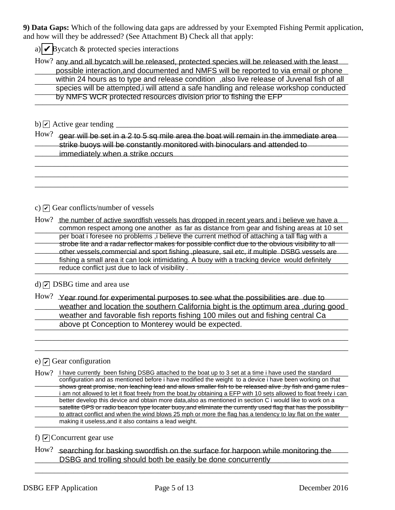**9) Data Gaps:** Which of the following data gaps are addressed by your Exempted Fishing Permit application, and how will they be addressed? (See Attachment B) Check all that apply:

a)  $\sqrt{\mathsf{p}}$  Bycatch & protected species interactions

How? any and all bycatch will be released, protected species will be released with the least possible interaction, and documented and NMFS will be reported to via email or phone possible interaction, and documented and NMFS will be reported to via email or phone<br>within 24 hours as to type and release condition , also live release of Juvenal fish of all species will be attempted,i will attend a safe handling and release workshop conducted<br>
species will be attempted,i will attend a safe handling and release workshop conducted by NMFS WCR protected resources division prior to fishing the EFP<br>————————————————————

b)  $\vee$  Active gear tending  $\qquad \qquad$ 

 $\rm{How?}$   $\,$  gear will be set in a 2 to 5 sq mile area the boat will remain in the immediate area  $\,$   $\,$ **Example 1** Strike buoys will be constantly monitored with binoculars and attended to \_\_\_\_\_\_\_\_\_\_\_\_\_\_\_\_\_\_\_\_\_\_\_\_\_\_\_\_\_\_\_\_\_\_\_\_\_\_\_\_\_\_\_\_\_\_\_\_\_\_\_\_\_\_\_\_\_\_\_\_\_\_\_\_\_\_\_\_\_\_\_\_\_\_\_\_\_\_\_\_\_ immediately when a strike occurs

\_\_\_\_\_\_\_\_\_\_\_\_\_\_\_\_\_\_\_\_\_\_\_\_\_\_\_\_\_\_\_\_\_\_\_\_\_\_\_\_\_\_\_\_\_\_\_\_\_\_\_\_\_\_\_\_\_\_\_\_\_\_\_\_\_\_\_\_\_\_\_\_\_\_\_\_\_\_\_\_\_ \_\_\_\_\_\_\_\_\_\_\_\_\_\_\_\_\_\_\_\_\_\_\_\_\_\_\_\_\_\_\_\_\_\_\_\_\_\_\_\_\_\_\_\_\_\_\_\_\_\_\_\_\_\_\_\_\_\_\_\_\_\_\_\_\_\_\_\_\_\_\_\_\_\_\_\_\_\_\_\_\_ \_\_\_\_\_\_\_\_\_\_\_\_\_\_\_\_\_\_\_\_\_\_\_\_\_\_\_\_\_\_\_\_\_\_\_\_\_\_\_\_\_\_\_\_\_\_\_\_\_\_\_\_\_\_\_\_\_\_\_\_\_\_\_\_\_\_\_\_\_\_\_\_\_\_\_\_\_\_\_\_\_

c)  $\triangleright$  Gear conflicts/number of vessels

How? the number of active swordfish vessels has dropped in recent years and i believe we have a common respect among one another as far as distance from gear and fishing areas at 10 set per boat rioresee no problems , believe the current method or attaching a tail hay with a<br>Strobe lite and a radar reflector makes for possible conflict due to the obvious visibility to all other vessels, commercial and sport fishing , pleasure, sail etc, if multiple DSBG vessels are \_\_\_\_\_\_\_\_\_\_\_\_\_\_\_\_\_\_\_\_\_\_\_\_\_\_\_\_\_\_\_\_\_\_\_\_\_\_\_\_\_\_\_\_\_\_\_\_\_\_\_\_\_\_\_\_\_\_\_\_\_\_\_\_\_\_\_\_\_\_\_\_\_\_\_\_\_\_\_\_\_ fishing a small area it can look intimidating. A buoy with a tracking device would definitely reduce conflict just due to lack of visibility .<br>
and the same conflict in the lack of visibility . per boat i foresee no problems ,i believe the current method of attaching a tall flag with a

 $d)$   $\boxed{\mathcal{O}}$  DSBG time and area use

 $How?$  Year round for experimental purposes to see what the possibilities are due to weather and location the southern California bight is the optimum area ,during good weather and favorable fish reports fishing 100 miles out and fishing central Ca above pt Conception to Monterey would be expected.

\_\_\_\_\_\_\_\_\_\_\_\_\_\_\_\_\_\_\_\_\_\_\_\_\_\_\_\_\_\_\_\_\_\_\_\_\_\_\_\_\_\_\_\_\_\_\_\_\_\_\_\_\_\_\_\_\_\_\_\_\_\_\_\_\_\_\_\_\_\_\_\_\_\_\_\_\_\_\_\_\_ \_\_\_\_\_\_\_\_\_\_\_\_\_\_\_\_\_\_\_\_\_\_\_\_\_\_\_\_\_\_\_\_\_\_\_\_\_\_\_\_\_\_\_\_\_\_\_\_\_\_\_\_\_\_\_\_\_\_\_\_\_\_\_\_\_\_\_\_\_\_\_\_\_\_\_\_\_\_\_\_\_

# e)  $\Box$  Gear configuration

How? I have currently been fishing DSBG attached to the boat up to 3 set at a time i have used the standard configuration and as memoried before i nave modified the weight to a device i have been working on that<br>Shows great promise, non leaching lead and allows smaller fish to be released alive ,by fish and game rules i am not allowed to let it float freely from the boat,by obtaining a EFP with 10 sets allowed to float freely i can petter develop this device and obtain more data, also as mentioned in section CT would like to work on a<br>Satellite GPS or radio beacon type locater buoy,and eliminate the currently used flag that has the possibility to attract conflict and when the wind blows 25 mph or more the flag has a tendency to lay flat on the water \_\_\_\_\_\_\_\_\_\_\_\_\_\_\_\_\_\_\_\_\_\_\_\_\_\_\_\_\_\_\_\_\_\_\_\_\_\_\_\_\_\_\_\_\_\_\_\_\_\_\_\_\_\_\_\_\_\_\_\_\_\_\_\_\_\_\_\_\_\_\_\_\_\_\_\_\_\_\_\_\_ making it useless,and it also contains a lead weight. configuration and as mentioned before i have modified the weight to a device i have been working on that better develop this device and obtain more data,also as mentioned in section C i would like to work on a

# f)  $\Box$  Concurrent gear use

How? searching for basking swordfish on the surface for harpoon while monitoring the **EXALUAN EXALUAN CONCORDING SHOULD SHOULD SHOULD SHOULD SHOULD SHOULD SHOULD SHOULD SHOULD SHOULD SHOULD SHOULD SHOULD SHOULD SHOULD SHOULD SHOULD SHOULD SHOULD SHOULD SHOULD SHOULD SHOULD SHOULD SHOULD SHOULD SHOULD SHOUL** 

\_\_\_\_\_\_\_\_\_\_\_\_\_\_\_\_\_\_\_\_\_\_\_\_\_\_\_\_\_\_\_\_\_\_\_\_\_\_\_\_\_\_\_\_\_\_\_\_\_\_\_\_\_\_\_\_\_\_\_\_\_\_\_\_\_\_\_\_\_\_\_\_\_\_\_\_\_\_\_\_\_